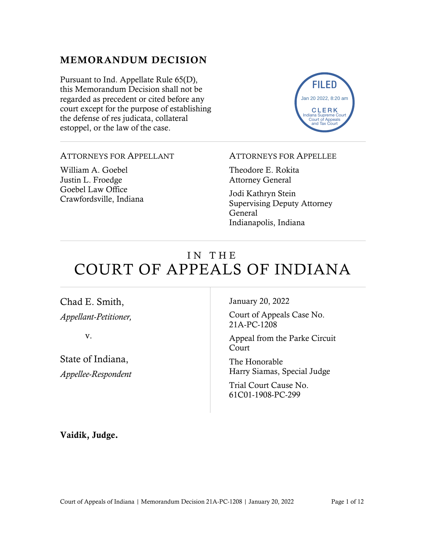### MEMORANDUM DECISION

Pursuant to Ind. Appellate Rule 65(D), this Memorandum Decision shall not be regarded as precedent or cited before any court except for the purpose of establishing the defense of res judicata, collateral estoppel, or the law of the case.



#### ATTORNEYS FOR APPELLANT

William A. Goebel Justin L. Froedge Goebel Law Office Crawfordsville, Indiana

#### ATTORNEYS FOR APPELLEE

Theodore E. Rokita Attorney General

Jodi Kathryn Stein Supervising Deputy Attorney General Indianapolis, Indiana

# IN THE COURT OF APPEALS OF INDIANA

Chad E. Smith, *Appellant-Petitioner,*

v.

State of Indiana, *Appellee-Respondent* January 20, 2022

Court of Appeals Case No. 21A-PC-1208

Appeal from the Parke Circuit Court

The Honorable Harry Siamas, Special Judge

Trial Court Cause No. 61C01-1908-PC-299

Vaidik, Judge.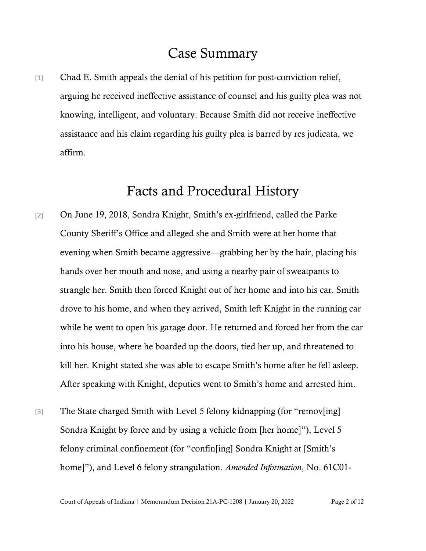## Case Summary

[1] Chad E. Smith appeals the denial of his petition for post-conviction relief, arguing he received ineffective assistance of counsel and his guilty plea was not knowing, intelligent, and voluntary. Because Smith did not receive ineffective assistance and his claim regarding his guilty plea is barred by res judicata, we affirm.

## Facts and Procedural History

- [2] On June 19, 2018, Sondra Knight, Smith's ex-girlfriend, called the Parke County Sheriff's Office and alleged she and Smith were at her home that evening when Smith became aggressive—grabbing her by the hair, placing his hands over her mouth and nose, and using a nearby pair of sweatpants to strangle her. Smith then forced Knight out of her home and into his car. Smith drove to his home, and when they arrived, Smith left Knight in the running car while he went to open his garage door. He returned and forced her from the car into his house, where he boarded up the doors, tied her up, and threatened to kill her. Knight stated she was able to escape Smith's home after he fell asleep. After speaking with Knight, deputies went to Smith's home and arrested him.
- [3] The State charged Smith with Level 5 felony kidnapping (for "remov[ing] Sondra Knight by force and by using a vehicle from [her home]"), Level 5 felony criminal confinement (for "confin[ing] Sondra Knight at [Smith's home]"), and Level 6 felony strangulation. *Amended Information*, No. 61C01-

Court of Appeals of Indiana | Memorandum Decision 21A-PC-1208 | January 20, 2022 Page 2 of 12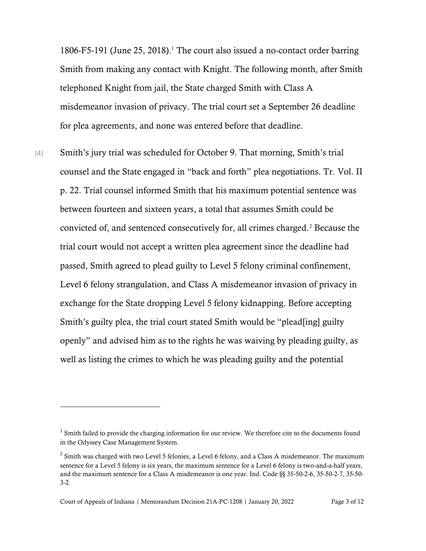$1806-F5-191$  (June 25, 2018).<sup>1</sup> The court also issued a no-contact order barring Smith from making any contact with Knight. The following month, after Smith telephoned Knight from jail, the State charged Smith with Class A misdemeanor invasion of privacy. The trial court set a September 26 deadline for plea agreements, and none was entered before that deadline.

[4] Smith's jury trial was scheduled for October 9. That morning, Smith's trial counsel and the State engaged in "back and forth" plea negotiations. Tr. Vol. II p. 22. Trial counsel informed Smith that his maximum potential sentence was between fourteen and sixteen years, a total that assumes Smith could be convicted of, and sentenced consecutively for, all crimes charged.<sup>2</sup> Because the trial court would not accept a written plea agreement since the deadline had passed, Smith agreed to plead guilty to Level 5 felony criminal confinement, Level 6 felony strangulation, and Class A misdemeanor invasion of privacy in exchange for the State dropping Level 5 felony kidnapping. Before accepting Smith's guilty plea, the trial court stated Smith would be "plead[ing] guilty openly" and advised him as to the rights he was waiving by pleading guilty, as well as listing the crimes to which he was pleading guilty and the potential

 $1$  Smith failed to provide the charging information for our review. We therefore cite to the documents found in the Odyssey Case Management System.

 $2^2$  Smith was charged with two Level 5 felonies, a Level 6 felony, and a Class A misdemeanor. The maximum sentence for a Level 5 felony is six years, the maximum sentence for a Level 6 felony is two-and-a-half years, and the maximum sentence for a Class A misdemeanor is one year. Ind. Code §§ 35-50-2-6, 35-50-2-7, 35-50- 3-2.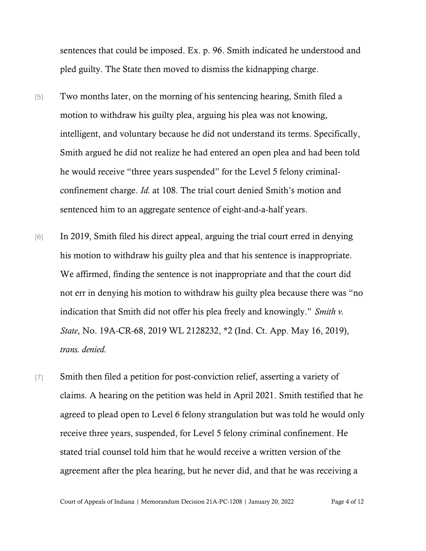sentences that could be imposed. Ex. p. 96. Smith indicated he understood and pled guilty. The State then moved to dismiss the kidnapping charge.

- [5] Two months later, on the morning of his sentencing hearing, Smith filed a motion to withdraw his guilty plea, arguing his plea was not knowing, intelligent, and voluntary because he did not understand its terms. Specifically, Smith argued he did not realize he had entered an open plea and had been told he would receive "three years suspended" for the Level 5 felony criminalconfinement charge. *Id.* at 108. The trial court denied Smith's motion and sentenced him to an aggregate sentence of eight-and-a-half years.
- [6] In 2019, Smith filed his direct appeal, arguing the trial court erred in denying his motion to withdraw his guilty plea and that his sentence is inappropriate. We affirmed, finding the sentence is not inappropriate and that the court did not err in denying his motion to withdraw his guilty plea because there was "no indication that Smith did not offer his plea freely and knowingly." *Smith v. State*, No. 19A-CR-68, 2019 WL 2128232, \*2 (Ind. Ct. App. May 16, 2019), *trans. denied.*
- [7] Smith then filed a petition for post-conviction relief, asserting a variety of claims. A hearing on the petition was held in April 2021. Smith testified that he agreed to plead open to Level 6 felony strangulation but was told he would only receive three years, suspended, for Level 5 felony criminal confinement. He stated trial counsel told him that he would receive a written version of the agreement after the plea hearing, but he never did, and that he was receiving a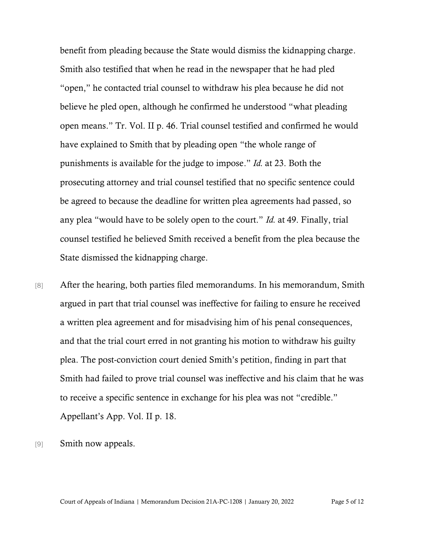benefit from pleading because the State would dismiss the kidnapping charge. Smith also testified that when he read in the newspaper that he had pled "open," he contacted trial counsel to withdraw his plea because he did not believe he pled open, although he confirmed he understood "what pleading open means." Tr. Vol. II p. 46. Trial counsel testified and confirmed he would have explained to Smith that by pleading open "the whole range of punishments is available for the judge to impose." *Id.* at 23. Both the prosecuting attorney and trial counsel testified that no specific sentence could be agreed to because the deadline for written plea agreements had passed, so any plea "would have to be solely open to the court." *Id.* at 49. Finally, trial counsel testified he believed Smith received a benefit from the plea because the State dismissed the kidnapping charge.

[8] After the hearing, both parties filed memorandums. In his memorandum, Smith argued in part that trial counsel was ineffective for failing to ensure he received a written plea agreement and for misadvising him of his penal consequences, and that the trial court erred in not granting his motion to withdraw his guilty plea. The post-conviction court denied Smith's petition, finding in part that Smith had failed to prove trial counsel was ineffective and his claim that he was to receive a specific sentence in exchange for his plea was not "credible." Appellant's App. Vol. II p. 18.

[9] Smith now appeals.

Court of Appeals of Indiana | Memorandum Decision 21A-PC-1208 | January 20, 2022 Page 5 of 12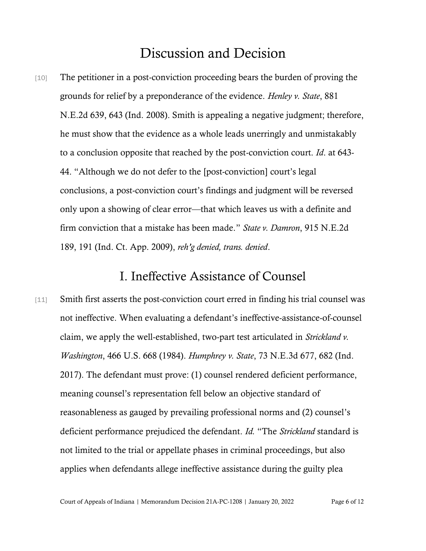## Discussion and Decision

[10] The petitioner in a post-conviction proceeding bears the burden of proving the grounds for relief by a preponderance of the evidence. *Henley v. State*, 881 N.E.2d 639, 643 (Ind. 2008). Smith is appealing a negative judgment; therefore, he must show that the evidence as a whole leads unerringly and unmistakably to a conclusion opposite that reached by the post-conviction court. *Id*. at 643- 44. "Although we do not defer to the [post-conviction] court's legal conclusions, a post-conviction court's findings and judgment will be reversed only upon a showing of clear error—that which leaves us with a definite and firm conviction that a mistake has been made." *State v. Damron*, 915 N.E.2d 189, 191 (Ind. Ct. App. 2009), *reh'g denied, trans. denied*.

## I. Ineffective Assistance of Counsel

[11] Smith first asserts the post-conviction court erred in finding his trial counsel was not ineffective. When evaluating a defendant's ineffective-assistance-of-counsel claim, we apply the well-established, two-part test articulated in *Strickland v. Washington*, 466 U.S. 668 (1984). *Humphrey v. State*, 73 N.E.3d 677, 682 (Ind. 2017). The defendant must prove: (1) counsel rendered deficient performance, meaning counsel's representation fell below an objective standard of reasonableness as gauged by prevailing professional norms and (2) counsel's deficient performance prejudiced the defendant. *Id.* "The *Strickland* standard is not limited to the trial or appellate phases in criminal proceedings, but also applies when defendants allege ineffective assistance during the guilty plea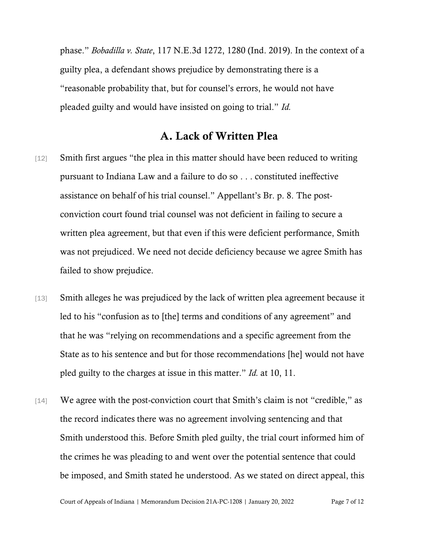phase." *Bobadilla v. State*, 117 N.E.3d 1272, 1280 (Ind. 2019). In the context of a guilty plea, a defendant shows prejudice by demonstrating there is a "reasonable probability that, but for counsel's errors, he would not have pleaded guilty and would have insisted on going to trial." *Id.* 

### A. Lack of Written Plea

- [12] Smith first argues "the plea in this matter should have been reduced to writing pursuant to Indiana Law and a failure to do so . . . constituted ineffective assistance on behalf of his trial counsel." Appellant's Br. p. 8. The postconviction court found trial counsel was not deficient in failing to secure a written plea agreement, but that even if this were deficient performance, Smith was not prejudiced. We need not decide deficiency because we agree Smith has failed to show prejudice.
- [13] Smith alleges he was prejudiced by the lack of written plea agreement because it led to his "confusion as to [the] terms and conditions of any agreement" and that he was "relying on recommendations and a specific agreement from the State as to his sentence and but for those recommendations [he] would not have pled guilty to the charges at issue in this matter." *Id.* at 10, 11.
- [14] We agree with the post-conviction court that Smith's claim is not "credible," as the record indicates there was no agreement involving sentencing and that Smith understood this. Before Smith pled guilty, the trial court informed him of the crimes he was pleading to and went over the potential sentence that could be imposed, and Smith stated he understood. As we stated on direct appeal, this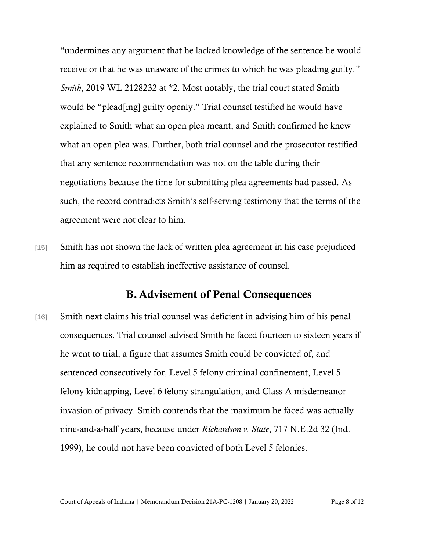"undermines any argument that he lacked knowledge of the sentence he would receive or that he was unaware of the crimes to which he was pleading guilty." *Smith*, 2019 WL 2128232 at \*2. Most notably, the trial court stated Smith would be "plead[ing] guilty openly." Trial counsel testified he would have explained to Smith what an open plea meant, and Smith confirmed he knew what an open plea was. Further, both trial counsel and the prosecutor testified that any sentence recommendation was not on the table during their negotiations because the time for submitting plea agreements had passed. As such, the record contradicts Smith's self-serving testimony that the terms of the agreement were not clear to him.

[15] Smith has not shown the lack of written plea agreement in his case prejudiced him as required to establish ineffective assistance of counsel.

#### B.Advisement of Penal Consequences

[16] Smith next claims his trial counsel was deficient in advising him of his penal consequences. Trial counsel advised Smith he faced fourteen to sixteen years if he went to trial, a figure that assumes Smith could be convicted of, and sentenced consecutively for, Level 5 felony criminal confinement, Level 5 felony kidnapping, Level 6 felony strangulation, and Class A misdemeanor invasion of privacy. Smith contends that the maximum he faced was actually nine-and-a-half years, because under *Richardson v. State*, 717 N.E.2d 32 (Ind. 1999), he could not have been convicted of both Level 5 felonies.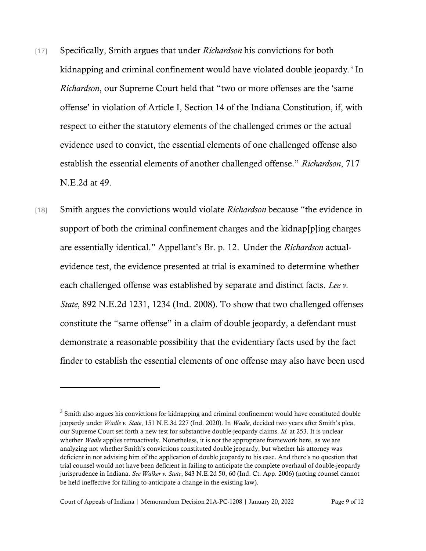- [17] Specifically, Smith argues that under *Richardson* his convictions for both kidnapping and criminal confinement would have violated double jeopardy.<sup>3</sup> In *Richardson*, our Supreme Court held that "two or more offenses are the 'same offense' in violation of Article I, Section 14 of the Indiana Constitution, if, with respect to either the statutory elements of the challenged crimes or the actual evidence used to convict, the essential elements of one challenged offense also establish the essential elements of another challenged offense." *Richardson*, 717 N.E.2d at 49.
- [18] Smith argues the convictions would violate *Richardson* because "the evidence in support of both the criminal confinement charges and the kidnap[p]ing charges are essentially identical." Appellant's Br. p. 12. Under the *Richardson* actualevidence test, the evidence presented at trial is examined to determine whether each challenged offense was established by separate and distinct facts. *Lee v. State*, 892 N.E.2d 1231, 1234 (Ind. 2008). To show that two challenged offenses constitute the "same offense" in a claim of double jeopardy, a defendant must demonstrate a reasonable possibility that the evidentiary facts used by the fact finder to establish the essential elements of one offense may also have been used

 $3$  Smith also argues his convictions for kidnapping and criminal confinement would have constituted double jeopardy under *Wadle v. State*, 151 N.E.3d 227 (Ind. 2020). In *Wadle*, decided two years after Smith's plea, our Supreme Court set forth a new test for substantive double-jeopardy claims. *Id.* at 253. It is unclear whether *Wadle* applies retroactively. Nonetheless, it is not the appropriate framework here, as we are analyzing not whether Smith's convictions constituted double jeopardy, but whether his attorney was deficient in not advising him of the application of double jeopardy to his case. And there's no question that trial counsel would not have been deficient in failing to anticipate the complete overhaul of double-jeopardy jurisprudence in Indiana. *See Walker v. State*, 843 N.E.2d 50, 60 (Ind. Ct. App. 2006) (noting counsel cannot be held ineffective for failing to anticipate a change in the existing law).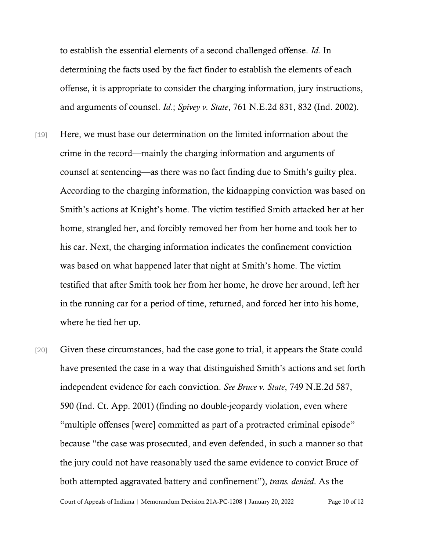to establish the essential elements of a second challenged offense. *Id.* In determining the facts used by the fact finder to establish the elements of each offense, it is appropriate to consider the charging information, jury instructions, and arguments of counsel. *Id.*; *Spivey v. State*, 761 N.E.2d 831, 832 (Ind. 2002).

- [19] Here, we must base our determination on the limited information about the crime in the record—mainly the charging information and arguments of counsel at sentencing—as there was no fact finding due to Smith's guilty plea. According to the charging information, the kidnapping conviction was based on Smith's actions at Knight's home. The victim testified Smith attacked her at her home, strangled her, and forcibly removed her from her home and took her to his car. Next, the charging information indicates the confinement conviction was based on what happened later that night at Smith's home. The victim testified that after Smith took her from her home, he drove her around, left her in the running car for a period of time, returned, and forced her into his home, where he tied her up.
- [20] Given these circumstances, had the case gone to trial, it appears the State could have presented the case in a way that distinguished Smith's actions and set forth independent evidence for each conviction. *See Bruce v. State*, 749 N.E.2d 587, 590 (Ind. Ct. App. 2001) (finding no double-jeopardy violation, even where "multiple offenses [were] committed as part of a protracted criminal episode" because "the case was prosecuted, and even defended, in such a manner so that the jury could not have reasonably used the same evidence to convict Bruce of both attempted aggravated battery and confinement"), *trans. denied*. As the

Court of Appeals of Indiana | Memorandum Decision 21A-PC-1208 | January 20, 2022 Page 10 of 12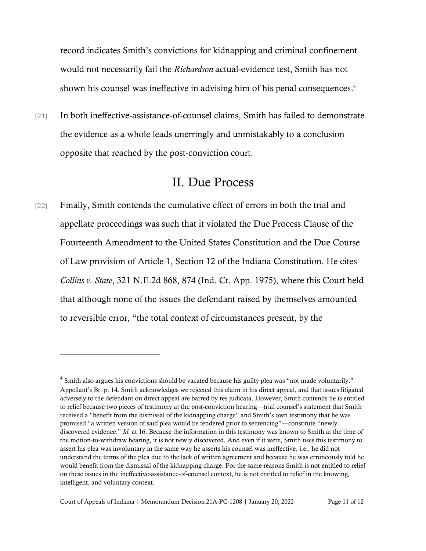record indicates Smith's convictions for kidnapping and criminal confinement would not necessarily fail the *Richardson* actual-evidence test, Smith has not shown his counsel was ineffective in advising him of his penal consequences. 4

[21] In both ineffective-assistance-of-counsel claims, Smith has failed to demonstrate the evidence as a whole leads unerringly and unmistakably to a conclusion opposite that reached by the post-conviction court.

## II. Due Process

[22] Finally, Smith contends the cumulative effect of errors in both the trial and appellate proceedings was such that it violated the Due Process Clause of the Fourteenth Amendment to the United States Constitution and the Due Course of Law provision of Article 1, Section 12 of the Indiana Constitution. He cites *Collins v. State*, 321 N.E.2d 868, 874 (Ind. Ct. App. 1975), where this Court held that although none of the issues the defendant raised by themselves amounted to reversible error, "the total context of circumstances present, by the

 $4$  Smith also argues his convictions should be vacated because his guilty plea was "not made voluntarily." Appellant's Br. p. 14. Smith acknowledges we rejected this claim in his direct appeal, and that issues litigated adversely to the defendant on direct appeal are barred by res judicata. However, Smith contends he is entitled to relief because two pieces of testimony at the post-conviction hearing—trial counsel's statement that Smith received a "benefit from the dismissal of the kidnapping charge" and Smith's own testimony that he was promised "a written version of said plea would be tendered prior to sentencing"—constitute "newly discovered evidence." *Id.* at 16. Because the information in this testimony was known to Smith at the time of the motion-to-withdraw hearing, it is not newly discovered. And even if it were, Smith uses this testimony to assert his plea was involuntary in the same way he asserts his counsel was ineffective, i.e., he did not understand the terms of the plea due to the lack of written agreement and because he was erroneously told he would benefit from the dismissal of the kidnapping charge. For the same reasons Smith is not entitled to relief on these issues in the ineffective-assistance-of-counsel context, he is not entitled to relief in the knowing, intelligent, and voluntary context.